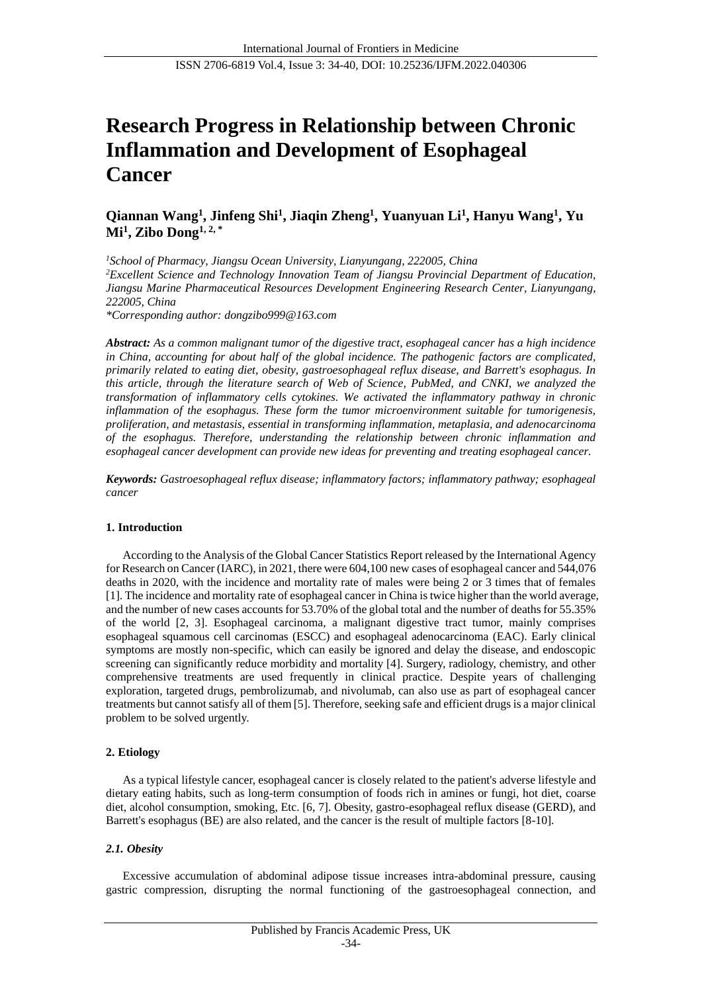# **Research Progress in Relationship between Chronic Inflammation and Development of Esophageal Cancer**

# **Qiannan Wang<sup>1</sup> , Jinfeng Shi<sup>1</sup> , Jiaqin Zheng<sup>1</sup> , Yuanyuan Li<sup>1</sup> , Hanyu Wang<sup>1</sup> , Yu Mi<sup>1</sup> , Zibo Dong1, 2, \***

*<sup>1</sup>School of Pharmacy, Jiangsu Ocean University, Lianyungang, 222005, China <sup>2</sup>Excellent Science and Technology Innovation Team of Jiangsu Provincial Department of Education, Jiangsu Marine Pharmaceutical Resources Development Engineering Research Center, Lianyungang, 222005, China*

*\*Corresponding author: dongzibo999@163.com*

*Abstract: As a common malignant tumor of the digestive tract, esophageal cancer has a high incidence in China, accounting for about half of the global incidence. The pathogenic factors are complicated, primarily related to eating diet, obesity, gastroesophageal reflux disease, and Barrett's esophagus. In this article, through the literature search of Web of Science, PubMed, and CNKI, we analyzed the transformation of inflammatory cells cytokines. We activated the inflammatory pathway in chronic inflammation of the esophagus. These form the tumor microenvironment suitable for tumorigenesis, proliferation, and metastasis, essential in transforming inflammation, metaplasia, and adenocarcinoma of the esophagus. Therefore, understanding the relationship between chronic inflammation and esophageal cancer development can provide new ideas for preventing and treating esophageal cancer.*

*Keywords: Gastroesophageal reflux disease; inflammatory factors; inflammatory pathway; esophageal cancer*

#### **1. Introduction**

According to the Analysis of the Global Cancer Statistics Report released by the International Agency for Research on Cancer (IARC), in 2021, there were 604,100 new cases of esophageal cancer and 544,076 deaths in 2020, with the incidence and mortality rate of males were being 2 or 3 times that of females [1]. The incidence and mortality rate of esophageal cancer in China is twice higher than the world average, and the number of new cases accounts for 53.70% of the global total and the number of deaths for 55.35% of the world [2, 3]. Esophageal carcinoma, a malignant digestive tract tumor, mainly comprises esophageal squamous cell carcinomas (ESCC) and esophageal adenocarcinoma (EAC). Early clinical symptoms are mostly non-specific, which can easily be ignored and delay the disease, and endoscopic screening can significantly reduce morbidity and mortality [4]. Surgery, radiology, chemistry, and other comprehensive treatments are used frequently in clinical practice. Despite years of challenging exploration, targeted drugs, pembrolizumab, and nivolumab, can also use as part of esophageal cancer treatments but cannot satisfy all of them [5]. Therefore, seeking safe and efficient drugs is a major clinical problem to be solved urgently.

#### **2. Etiology**

As a typical lifestyle cancer, esophageal cancer is closely related to the patient's adverse lifestyle and dietary eating habits, such as long-term consumption of foods rich in amines or fungi, hot diet, coarse diet, alcohol consumption, smoking, Etc. [6, 7]. Obesity, gastro-esophageal reflux disease (GERD), and Barrett's esophagus (BE) are also related, and the cancer is the result of multiple factors [8-10].

#### *2.1. Obesity*

Excessive accumulation of abdominal adipose tissue increases intra-abdominal pressure, causing gastric compression, disrupting the normal functioning of the gastroesophageal connection, and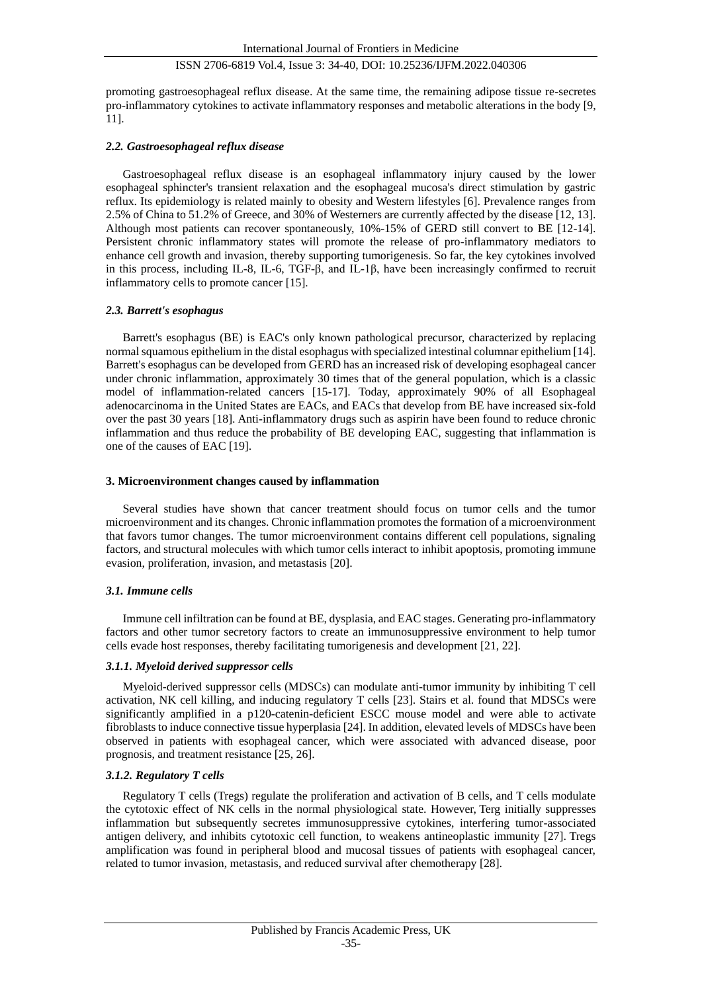promoting gastroesophageal reflux disease. At the same time, the remaining adipose tissue re-secretes pro-inflammatory cytokines to activate inflammatory responses and metabolic alterations in the body [9, 11].

## *2.2. Gastroesophageal reflux disease*

Gastroesophageal reflux disease is an esophageal inflammatory injury caused by the lower esophageal sphincter's transient relaxation and the esophageal mucosa's direct stimulation by gastric reflux. Its epidemiology is related mainly to obesity and Western lifestyles [6]. Prevalence ranges from 2.5% of China to 51.2% of Greece, and 30% of Westerners are currently affected by the disease [12, 13]. Although most patients can recover spontaneously, 10%-15% of GERD still convert to BE [12-14]. Persistent chronic inflammatory states will promote the release of pro-inflammatory mediators to enhance cell growth and invasion, thereby supporting tumorigenesis. So far, the key cytokines involved in this process, including IL-8, IL-6, TGF-β, and IL-1β, have been increasingly confirmed to recruit inflammatory cells to promote cancer [15].

#### *2.3. Barrett's esophagus*

Barrett's esophagus (BE) is EAC's only known pathological precursor, characterized by replacing normal squamous epithelium in the distal esophagus with specialized intestinal columnar epithelium [14]. Barrett's esophagus can be developed from GERD has an increased risk of developing esophageal cancer under chronic inflammation, approximately 30 times that of the general population, which is a classic model of inflammation-related cancers [15-17]. Today, approximately 90% of all Esophageal adenocarcinoma in the United States are EACs, and EACs that develop from BE have increased six-fold over the past 30 years [18]. Anti-inflammatory drugs such as aspirin have been found to reduce chronic inflammation and thus reduce the probability of BE developing EAC, suggesting that inflammation is one of the causes of EAC [19].

## **3. Microenvironment changes caused by inflammation**

Several studies have shown that cancer treatment should focus on tumor cells and the tumor microenvironment and its changes. Chronic inflammation promotes the formation of a microenvironment that favors tumor changes. The tumor microenvironment contains different cell populations, signaling factors, and structural molecules with which tumor cells interact to inhibit apoptosis, promoting immune evasion, proliferation, invasion, and metastasis [20].

#### *3.1. Immune cells*

Immune cell infiltration can be found at BE, dysplasia, and EAC stages. Generating pro-inflammatory factors and other tumor secretory factors to create an immunosuppressive environment to help tumor cells evade host responses, thereby facilitating tumorigenesis and development [21, 22].

#### *3.1.1. Myeloid derived suppressor cells*

Myeloid-derived suppressor cells (MDSCs) can modulate anti-tumor immunity by inhibiting T cell activation, NK cell killing, and inducing regulatory T cells [23]. Stairs et al. found that MDSCs were significantly amplified in a p120-catenin-deficient ESCC mouse model and were able to activate fibroblasts to induce connective tissue hyperplasia [24]. In addition, elevated levels of MDSCs have been observed in patients with esophageal cancer, which were associated with advanced disease, poor prognosis, and treatment resistance [25, 26].

#### *3.1.2. Regulatory T cells*

Regulatory T cells (Tregs) regulate the proliferation and activation of B cells, and T cells modulate the cytotoxic effect of NK cells in the normal physiological state. However, Terg initially suppresses inflammation but subsequently secretes immunosuppressive cytokines, interfering tumor-associated antigen delivery, and inhibits cytotoxic cell function, to weakens antineoplastic immunity [27]. Tregs amplification was found in peripheral blood and mucosal tissues of patients with esophageal cancer, related to tumor invasion, metastasis, and reduced survival after chemotherapy [28].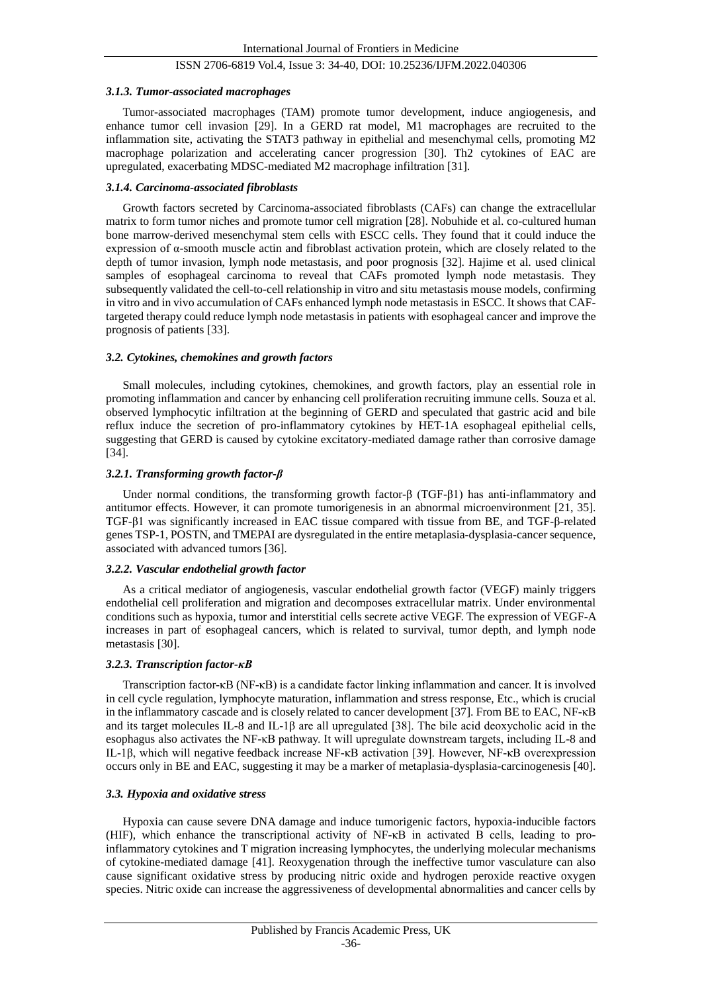#### *3.1.3. Tumor-associated macrophages*

Tumor-associated macrophages (TAM) promote tumor development, induce angiogenesis, and enhance tumor cell invasion [29]. In a GERD rat model, M1 macrophages are recruited to the inflammation site, activating the STAT3 pathway in epithelial and mesenchymal cells, promoting M2 macrophage polarization and accelerating cancer progression [30]. Th2 cytokines of EAC are upregulated, exacerbating MDSC-mediated M2 macrophage infiltration [31].

#### *3.1.4. Carcinoma-associated fibroblasts*

Growth factors secreted by Carcinoma-associated fibroblasts (CAFs) can change the extracellular matrix to form tumor niches and promote tumor cell migration [28]. Nobuhide et al. co-cultured human bone marrow-derived mesenchymal stem cells with ESCC cells. They found that it could induce the expression of α-smooth muscle actin and fibroblast activation protein, which are closely related to the depth of tumor invasion, lymph node metastasis, and poor prognosis [32]. Hajime et al. used clinical samples of esophageal carcinoma to reveal that CAFs promoted lymph node metastasis. They subsequently validated the cell-to-cell relationship in vitro and situ metastasis mouse models, confirming in vitro and in vivo accumulation of CAFs enhanced lymph node metastasis in ESCC. It shows that CAFtargeted therapy could reduce lymph node metastasis in patients with esophageal cancer and improve the prognosis of patients [33].

#### *3.2. Cytokines, chemokines and growth factors*

Small molecules, including cytokines, chemokines, and growth factors, play an essential role in promoting inflammation and cancer by enhancing cell proliferation recruiting immune cells. Souza et al. observed lymphocytic infiltration at the beginning of GERD and speculated that gastric acid and bile reflux induce the secretion of pro-inflammatory cytokines by HET-1A esophageal epithelial cells, suggesting that GERD is caused by cytokine excitatory-mediated damage rather than corrosive damage [34].

#### *3.2.1. Transforming growth factor-β*

Under normal conditions, the transforming growth factor-β (TGF-β1) has anti-inflammatory and antitumor effects. However, it can promote tumorigenesis in an abnormal microenvironment [21, 35]. TGF-β1 was significantly increased in EAC tissue compared with tissue from BE, and TGF-β-related genes TSP-1, POSTN, and TMEPAI are dysregulated in the entire metaplasia-dysplasia-cancer sequence, associated with advanced tumors [36].

#### *3.2.2. Vascular endothelial growth factor*

As a critical mediator of angiogenesis, vascular endothelial growth factor (VEGF) mainly triggers endothelial cell proliferation and migration and decomposes extracellular matrix. Under environmental conditions such as hypoxia, tumor and interstitial cells secrete active VEGF. The expression of VEGF-A increases in part of esophageal cancers, which is related to survival, tumor depth, and lymph node metastasis [30].

### *3.2.3. Transcription factor-κB*

Transcription factor-κB (NF-κB) is a candidate factor linking inflammation and cancer. It is involved in cell cycle regulation, lymphocyte maturation, inflammation and stress response, Etc., which is crucial in the inflammatory cascade and is closely related to cancer development [37]. From BE to EAC, NF-κB and its target molecules IL-8 and IL-1β are all upregulated [38]. The bile acid deoxycholic acid in the esophagus also activates the NF-κB pathway. It will upregulate downstream targets, including IL-8 and IL-1β, which will negative feedback increase NF-κB activation [39]. However, NF-κB overexpression occurs only in BE and EAC, suggesting it may be a marker of metaplasia-dysplasia-carcinogenesis [40].

#### *3.3. Hypoxia and oxidative stress*

Hypoxia can cause severe DNA damage and induce tumorigenic factors, hypoxia-inducible factors (HIF), which enhance the transcriptional activity of NF-κB in activated B cells, leading to proinflammatory cytokines and T migration increasing lymphocytes, the underlying molecular mechanisms of cytokine-mediated damage [41]. Reoxygenation through the ineffective tumor vasculature can also cause significant oxidative stress by producing nitric oxide and hydrogen peroxide reactive oxygen species. Nitric oxide can increase the aggressiveness of developmental abnormalities and cancer cells by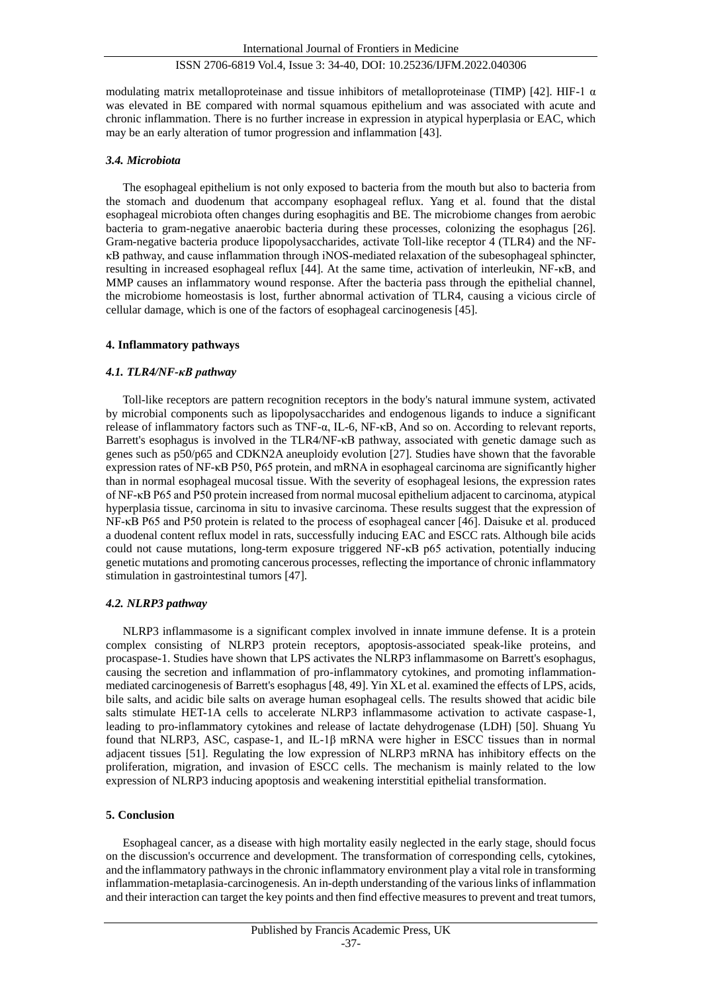modulating matrix metalloproteinase and tissue inhibitors of metalloproteinase (TIMP) [42]. HIF-1  $\alpha$ was elevated in BE compared with normal squamous epithelium and was associated with acute and chronic inflammation. There is no further increase in expression in atypical hyperplasia or EAC, which may be an early alteration of tumor progression and inflammation [43].

#### *3.4. Microbiota*

The esophageal epithelium is not only exposed to bacteria from the mouth but also to bacteria from the stomach and duodenum that accompany esophageal reflux. Yang et al. found that the distal esophageal microbiota often changes during esophagitis and BE. The microbiome changes from aerobic bacteria to gram-negative anaerobic bacteria during these processes, colonizing the esophagus [26]. Gram-negative bacteria produce lipopolysaccharides, activate Toll-like receptor 4 (TLR4) and the NFκB pathway, and cause inflammation through iNOS-mediated relaxation of the subesophageal sphincter, resulting in increased esophageal reflux [44]. At the same time, activation of interleukin, NF-κB, and MMP causes an inflammatory wound response. After the bacteria pass through the epithelial channel, the microbiome homeostasis is lost, further abnormal activation of TLR4, causing a vicious circle of cellular damage, which is one of the factors of esophageal carcinogenesis [45].

#### **4. Inflammatory pathways**

#### *4.1. TLR4/NF-κB pathway*

Toll-like receptors are pattern recognition receptors in the body's natural immune system, activated by microbial components such as lipopolysaccharides and endogenous ligands to induce a significant release of inflammatory factors such as TNF-α, IL-6, NF-κB, And so on. According to relevant reports, Barrett's esophagus is involved in the TLR4/NF-κB pathway, associated with genetic damage such as genes such as p50/p65 and CDKN2A aneuploidy evolution [27]. Studies have shown that the favorable expression rates of NF-κB P50, P65 protein, and mRNA in esophageal carcinoma are significantly higher than in normal esophageal mucosal tissue. With the severity of esophageal lesions, the expression rates of NF-κB P65 and P50 protein increased from normal mucosal epithelium adjacent to carcinoma, atypical hyperplasia tissue, carcinoma in situ to invasive carcinoma. These results suggest that the expression of NF-κB P65 and P50 protein is related to the process of esophageal cancer [46]. Daisuke et al. produced a duodenal content reflux model in rats, successfully inducing EAC and ESCC rats. Although bile acids could not cause mutations, long-term exposure triggered NF-κB p65 activation, potentially inducing genetic mutations and promoting cancerous processes, reflecting the importance of chronic inflammatory stimulation in gastrointestinal tumors [47].

#### *4.2. NLRP3 pathway*

NLRP3 inflammasome is a significant complex involved in innate immune defense. It is a protein complex consisting of NLRP3 protein receptors, apoptosis-associated speak-like proteins, and procaspase-1. Studies have shown that LPS activates the NLRP3 inflammasome on Barrett's esophagus, causing the secretion and inflammation of pro-inflammatory cytokines, and promoting inflammationmediated carcinogenesis of Barrett's esophagus [48, 49]. Yin XL et al. examined the effects of LPS, acids, bile salts, and acidic bile salts on average human esophageal cells. The results showed that acidic bile salts stimulate HET-1A cells to accelerate NLRP3 inflammasome activation to activate caspase-1, leading to pro-inflammatory cytokines and release of lactate dehydrogenase (LDH) [50]. Shuang Yu found that NLRP3, ASC, caspase-1, and IL-1 $\beta$  mRNA were higher in ESCC tissues than in normal adjacent tissues [51]. Regulating the low expression of NLRP3 mRNA has inhibitory effects on the proliferation, migration, and invasion of ESCC cells. The mechanism is mainly related to the low expression of NLRP3 inducing apoptosis and weakening interstitial epithelial transformation.

#### **5. Conclusion**

Esophageal cancer, as a disease with high mortality easily neglected in the early stage, should focus on the discussion's occurrence and development. The transformation of corresponding cells, cytokines, and the inflammatory pathways in the chronic inflammatory environment play a vital role in transforming inflammation-metaplasia-carcinogenesis. An in-depth understanding of the various links of inflammation and their interaction can target the key points and then find effective measures to prevent and treat tumors,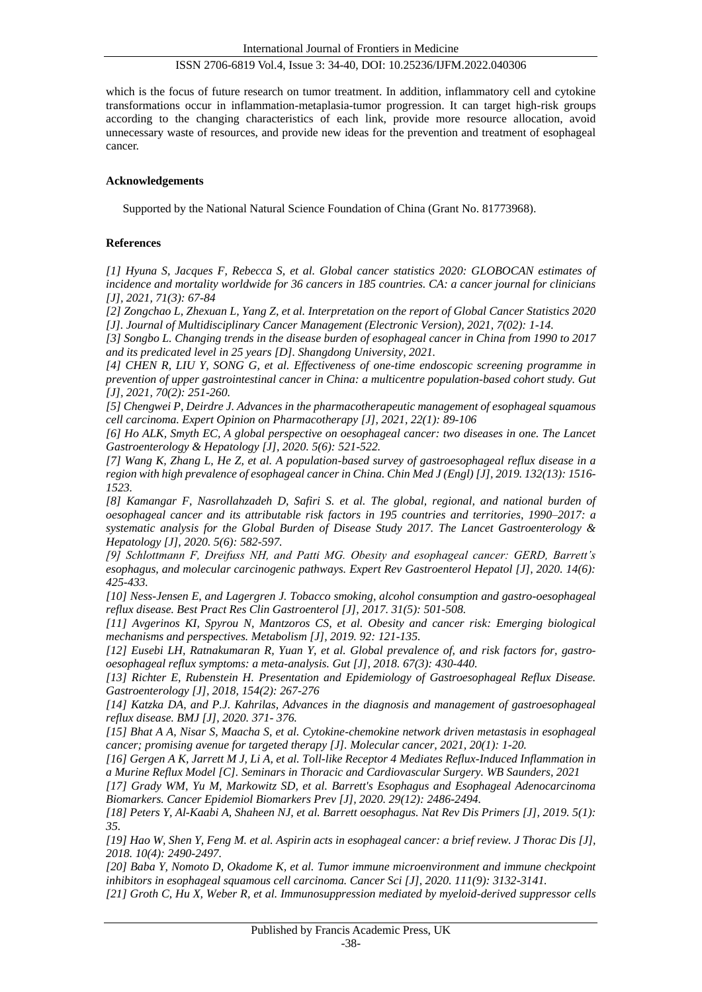which is the focus of future research on tumor treatment. In addition, inflammatory cell and cytokine transformations occur in inflammation-metaplasia-tumor progression. It can target high-risk groups according to the changing characteristics of each link, provide more resource allocation, avoid unnecessary waste of resources, and provide new ideas for the prevention and treatment of esophageal cancer.

## **Acknowledgements**

Supported by the National Natural Science Foundation of China (Grant No. 81773968).

## **References**

*[1] Hyuna S, Jacques F, Rebecca S, et al. Global cancer statistics 2020: GLOBOCAN estimates of incidence and mortality worldwide for 36 cancers in 185 countries. CA: a cancer journal for clinicians [J], 2021, 71(3): 67-84*

*[2] Zongchao L, Zhexuan L, Yang Z, et al. Interpretation on the report of Global Cancer Statistics 2020 [J]. Journal of Multidisciplinary Cancer Management (Electronic Version), 2021, 7(02): 1-14.*

*[3] Songbo L. Changing trends in the disease burden of esophageal cancer in China from 1990 to 2017 and its predicated level in 25 years [D]. Shangdong University, 2021.*

*[4] CHEN R, LIU Y, SONG G, et al. Effectiveness of one-time endoscopic screening programme in prevention of upper gastrointestinal cancer in China: a multicentre population-based cohort study. Gut [J], 2021, 70(2): 251-260.*

*[5] Chengwei P, Deirdre J. Advances in the pharmacotherapeutic management of esophageal squamous cell carcinoma. Expert Opinion on Pharmacotherapy [J], 2021, 22(1): 89-106*

*[6] Ho ALK, Smyth EC, A global perspective on oesophageal cancer: two diseases in one. The Lancet Gastroenterology & Hepatology [J], 2020. 5(6): 521-522.*

*[7] Wang K, Zhang L, He Z, et al. A population-based survey of gastroesophageal reflux disease in a region with high prevalence of esophageal cancer in China. Chin Med J (Engl) [J], 2019. 132(13): 1516- 1523.*

*[8] Kamangar F, Nasrollahzadeh D, Safiri S. et al. The global, regional, and national burden of oesophageal cancer and its attributable risk factors in 195 countries and territories, 1990–2017: a systematic analysis for the Global Burden of Disease Study 2017. The Lancet Gastroenterology & Hepatology [J], 2020. 5(6): 582-597.*

*[9] Schlottmann F, Dreifuss NH, and Patti MG. Obesity and esophageal cancer: GERD, Barrett's esophagus, and molecular carcinogenic pathways. Expert Rev Gastroenterol Hepatol [J], 2020. 14(6): 425-433.*

*[10] Ness-Jensen E, and Lagergren J. Tobacco smoking, alcohol consumption and gastro-oesophageal reflux disease. Best Pract Res Clin Gastroenterol [J], 2017. 31(5): 501-508.*

*[11] Avgerinos KI, Spyrou N, Mantzoros CS, et al. Obesity and cancer risk: Emerging biological mechanisms and perspectives. Metabolism [J], 2019. 92: 121-135.*

*[12] Eusebi LH, Ratnakumaran R, Yuan Y, et al. Global prevalence of, and risk factors for, gastrooesophageal reflux symptoms: a meta-analysis. Gut [J], 2018. 67(3): 430-440.*

*[13] Richter E, Rubenstein H. Presentation and Epidemiology of Gastroesophageal Reflux Disease. Gastroenterology [J], 2018, 154(2): 267-276*

*[14] Katzka DA, and P.J. Kahrilas, Advances in the diagnosis and management of gastroesophageal reflux disease. BMJ [J], 2020. 371- 376.*

*[15] Bhat A A, Nisar S, Maacha S, et al. Cytokine-chemokine network driven metastasis in esophageal cancer; promising avenue for targeted therapy [J]. Molecular cancer, 2021, 20(1): 1-20.*

*[16] Gergen A K, Jarrett M J, Li A, et al. Toll-like Receptor 4 Mediates Reflux-Induced Inflammation in a Murine Reflux Model [C]. Seminars in Thoracic and Cardiovascular Surgery. WB Saunders, 2021*

*[17] Grady WM, Yu M, Markowitz SD, et al. Barrett's Esophagus and Esophageal Adenocarcinoma Biomarkers. Cancer Epidemiol Biomarkers Prev [J], 2020. 29(12): 2486-2494.*

*[18] Peters Y, Al-Kaabi A, Shaheen NJ, et al. Barrett oesophagus. Nat Rev Dis Primers [J], 2019. 5(1): 35.*

*[19] Hao W, Shen Y, Feng M. et al. Aspirin acts in esophageal cancer: a brief review. J Thorac Dis [J], 2018. 10(4): 2490-2497.*

*[20] Baba Y, Nomoto D, Okadome K, et al. Tumor immune microenvironment and immune checkpoint inhibitors in esophageal squamous cell carcinoma. Cancer Sci [J], 2020. 111(9): 3132-3141.*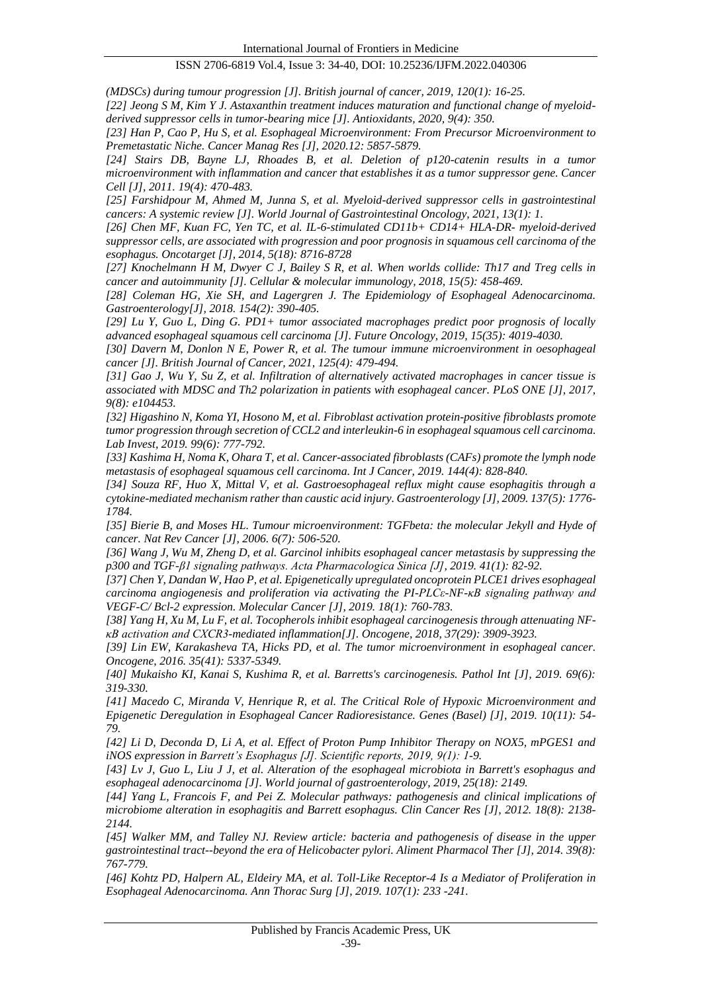*(MDSCs) during tumour progression [J]. British journal of cancer, 2019, 120(1): 16-25.*

*[22] Jeong S M, Kim Y J. Astaxanthin treatment induces maturation and functional change of myeloidderived suppressor cells in tumor-bearing mice [J]. Antioxidants, 2020, 9(4): 350.*

*[23] Han P, Cao P, Hu S, et al. Esophageal Microenvironment: From Precursor Microenvironment to Premetastatic Niche. Cancer Manag Res [J], 2020.12: 5857-5879.*

*[24] Stairs DB, Bayne LJ, Rhoades B, et al. Deletion of p120-catenin results in a tumor microenvironment with inflammation and cancer that establishes it as a tumor suppressor gene. Cancer Cell [J], 2011. 19(4): 470-483.*

*[25] Farshidpour M, Ahmed M, Junna S, et al. Myeloid-derived suppressor cells in gastrointestinal cancers: A systemic review [J]. World Journal of Gastrointestinal Oncology, 2021, 13(1): 1.*

*[26] Chen MF, Kuan FC, Yen TC, et al. IL-6-stimulated CD11b+ CD14+ HLA-DR- myeloid-derived suppressor cells, are associated with progression and poor prognosis in squamous cell carcinoma of the esophagus. Oncotarget [J], 2014, 5(18): 8716-8728*

*[27] Knochelmann H M, Dwyer C J, Bailey S R, et al. When worlds collide: Th17 and Treg cells in cancer and autoimmunity [J]. Cellular & molecular immunology, 2018, 15(5): 458-469.*

*[28] Coleman HG, Xie SH, and Lagergren J. The Epidemiology of Esophageal Adenocarcinoma. Gastroenterology[J], 2018. 154(2): 390-405.*

*[29] Lu Y, Guo L, Ding G. PD1+ tumor associated macrophages predict poor prognosis of locally advanced esophageal squamous cell carcinoma [J]. Future Oncology, 2019, 15(35): 4019-4030.*

*[30] Davern M, Donlon N E, Power R, et al. The tumour immune microenvironment in oesophageal cancer [J]. British Journal of Cancer, 2021, 125(4): 479-494.*

*[31] Gao J, Wu Y, Su Z, et al. Infiltration of alternatively activated macrophages in cancer tissue is associated with MDSC and Th2 polarization in patients with esophageal cancer. PLoS ONE [J], 2017, 9(8): e104453.*

*[32] Higashino N, Koma YI, Hosono M, et al. Fibroblast activation protein-positive fibroblasts promote tumor progression through secretion of CCL2 and interleukin-6 in esophageal squamous cell carcinoma. Lab Invest, 2019. 99(6): 777-792.*

*[33] Kashima H, Noma K, Ohara T, et al. Cancer-associated fibroblasts (CAFs) promote the lymph node metastasis of esophageal squamous cell carcinoma. Int J Cancer, 2019. 144(4): 828-840.*

*[34] Souza RF, Huo X, Mittal V, et al. Gastroesophageal reflux might cause esophagitis through a cytokine-mediated mechanism rather than caustic acid injury. Gastroenterology [J], 2009. 137(5): 1776- 1784.*

*[35] Bierie B, and Moses HL. Tumour microenvironment: TGFbeta: the molecular Jekyll and Hyde of cancer. Nat Rev Cancer [J], 2006. 6(7): 506-520.*

*[36] Wang J, Wu M, Zheng D, et al. Garcinol inhibits esophageal cancer metastasis by suppressing the p300 and TGF-β1 signaling pathways. Acta Pharmacologica Sinica [J], 2019. 41(1): 82-92.*

*[37] Chen Y, Dandan W, Hao P, et al. Epigenetically upregulated oncoprotein PLCE1 drives esophageal carcinoma angiogenesis and proliferation via activating the PI-PLCε-NF-κB signaling pathway and VEGF-C/ Bcl-2 expression. Molecular Cancer [J], 2019. 18(1): 760-783.*

*[38] Yang H, Xu M, Lu F, et al. Tocopherols inhibit esophageal carcinogenesis through attenuating NFκB activation and CXCR3-mediated inflammation[J]. Oncogene, 2018, 37(29): 3909-3923.*

*[39] Lin EW, Karakasheva TA, Hicks PD, et al. The tumor microenvironment in esophageal cancer. Oncogene, 2016. 35(41): 5337-5349.*

*[40] Mukaisho KI, Kanai S, Kushima R, et al. Barretts's carcinogenesis. Pathol Int [J], 2019. 69(6): 319-330.*

*[41] Macedo C, Miranda V, Henrique R, et al. The Critical Role of Hypoxic Microenvironment and Epigenetic Deregulation in Esophageal Cancer Radioresistance. Genes (Basel) [J], 2019. 10(11): 54- 79.*

*[42] Li D, Deconda D, Li A, et al. Effect of Proton Pump Inhibitor Therapy on NOX5, mPGES1 and iNOS expression in Barrett's Esophagus [J]. Scientific reports, 2019, 9(1): 1-9.*

*[43] Lv J, Guo L, Liu J J, et al. Alteration of the esophageal microbiota in Barrett's esophagus and esophageal adenocarcinoma [J]. World journal of gastroenterology, 2019, 25(18): 2149.*

*[44] Yang L, Francois F, and Pei Z. Molecular pathways: pathogenesis and clinical implications of microbiome alteration in esophagitis and Barrett esophagus. Clin Cancer Res [J], 2012. 18(8): 2138- 2144.*

*[45] Walker MM, and Talley NJ. Review article: bacteria and pathogenesis of disease in the upper gastrointestinal tract--beyond the era of Helicobacter pylori. Aliment Pharmacol Ther [J], 2014. 39(8): 767-779.*

*[46] Kohtz PD, Halpern AL, Eldeiry MA, et al. Toll-Like Receptor-4 Is a Mediator of Proliferation in Esophageal Adenocarcinoma. Ann Thorac Surg [J], 2019. 107(1): 233 -241.*